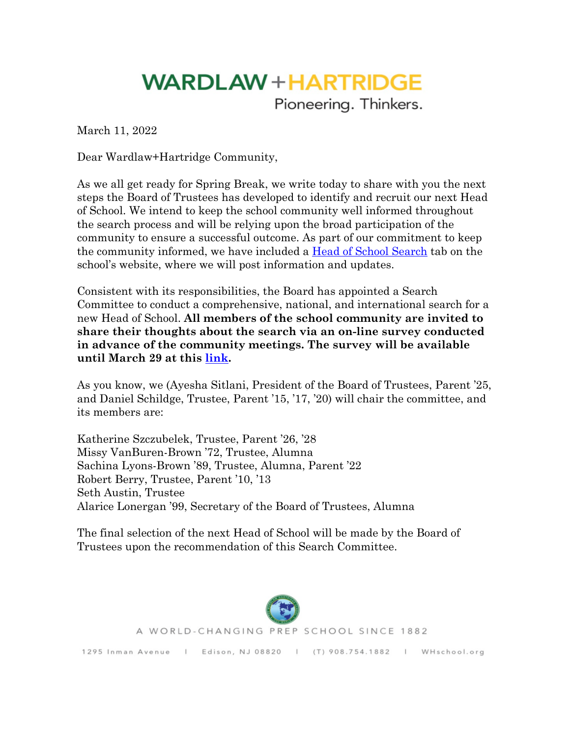## **WARDLAW + HARTRIDGE**

Pioneering. Thinkers.

March 11, 2022

Dear Wardlaw+Hartridge Community,

As we all get ready for Spring Break, we write today to share with you the next steps the Board of Trustees has developed to identify and recruit our next Head of School. We intend to keep the school community well informed throughout the search process and will be relying upon the broad participation of the community to ensure a successful outcome. As part of our commitment to keep the community informed, we have included a [Head of School Search](https://www.whschool.org/about-wh/head-of-school-search) tab on the school's website, where we will post information and updates.

Consistent with its responsibilities, the Board has appointed a Search Committee to conduct a comprehensive, national, and international search for a new Head of School. **All members of the school community are invited to share their thoughts about the search via an on-line survey conducted in advance of the community meetings. The survey will be available until March 29 at this [link](https://www.surveymonkey.com/r/NMXGJ7D).** 

As you know, we (Ayesha Sitlani, President of the Board of Trustees, Parent '25, and Daniel Schildge, Trustee, Parent '15, '17, '20) will chair the committee, and its members are:

Katherine Szczubelek, Trustee, Parent '26, '28 Missy VanBuren-Brown '72, Trustee, Alumna Sachina Lyons-Brown '89, Trustee, Alumna, Parent '22 Robert Berry, Trustee, Parent '10, '13 Seth Austin, Trustee Alarice Lonergan '99, Secretary of the Board of Trustees, Alumna

The final selection of the next Head of School will be made by the Board of Trustees upon the recommendation of this Search Committee.